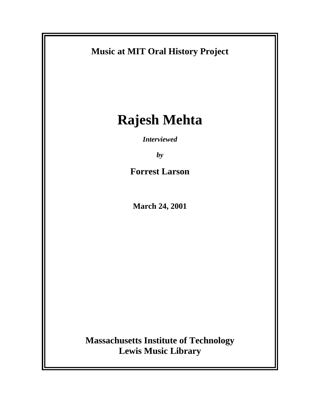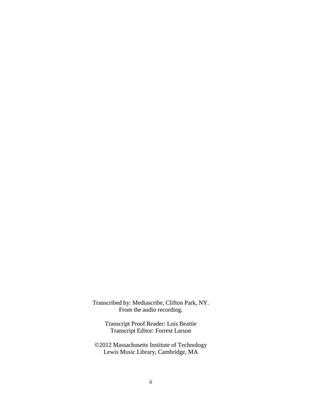Transcribed by: Mediascribe, Clifton Park, NY. From the audio recording.

> Transcript Proof Reader: Lois Beattie Transcript Editor: Forrest Larson

©2012 Massachusetts Institute of Technology Lewis Music Library, Cambridge, MA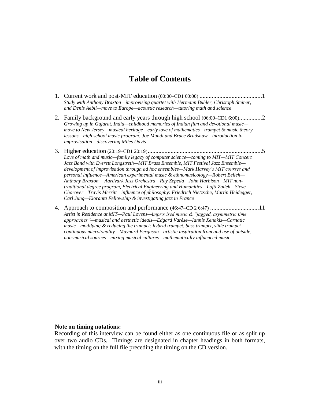# **Table of Contents**

- 1. Current work and post-MIT education (00:00–CD1 00:00) .........................................1 *Study with Anthony Braxton—improvising quartet with Hermann Bühler, Christoph Steiner, and Denis Aebli—move to Europe—acoustic research—tutoring math and science*
- 2. Family background and early years through high school (06:00–CD1 6:00)...............2 *Growing up in Gujarat, India—childhood memories of Indian film and devotional music move to New Jersey—musical heritage—early love of mathematics—trumpet & music theory lessons—high school music program: Joe Mundi and Bruce Bradshaw—introduction to improvisation—discovering Miles Davis*
- 3. Higher education (20:19–CD1 20:19)...........................................................................5 Love of math and music—family legacy of computer science—coming to MIT—MIT Concert *Jazz Band with Everett Longstreth—MIT Brass Ensemble, MIT Festival Jazz Ensemble development of improvisation through ad hoc ensembles—Mark Harvey's MIT courses and personal influence—American experimental music & ethnomusicology—Robert Belleh— Anthony Braxton— Aardvark Jazz Orchestra—Ray Zepeda—John Harbison—MIT nontraditional degree program, Electrical Engineering and Humanities—Lofti Zadeh—Steve Chorover—Travis Merritt—influence of philosophy: Friedrich Nietzsche, Martin Heidegger, Carl Jung—Eloranta Fellowship & investigating jazz in France*
- 4. Approach to composition and performance (46:47–CD 2 6:47) ................................11 *Artist in Residence at MIT—Paul Lovens—improvised music & "jagged, asymmetric time approaches"—musical and aesthetic ideals—Edgard Varèse—Iannis Xenakis—Carnatic music—modifying & reducing the trumpet: hybrid trumpet, bass trumpet, slide trumpet continuous microtonality—Maynard Ferguson—artistic inspiration from and use of outside, non-musical sources—mixing musical cultures—mathematically influenced music*

#### **Note on timing notations:**

Recording of this interview can be found either as one continuous file or as split up over two audio CDs. Timings are designated in chapter headings in both formats, with the timing on the full file preceding the timing on the CD version.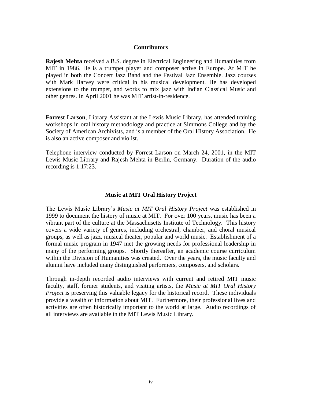#### **Contributors**

**Rajesh Mehta** received a B.S. degree in Electrical Engineering and Humanities from MIT in 1986. He is a trumpet player and composer active in Europe. At MIT he played in both the Concert Jazz Band and the Festival Jazz Ensemble. Jazz courses with Mark Harvey were critical in his musical development. He has developed extensions to the trumpet, and works to mix jazz with Indian Classical Music and other genres. In April 2001 he was MIT artist-in-residence.

**Forrest Larson**, Library Assistant at the Lewis Music Library, has attended training workshops in oral history methodology and practice at Simmons College and by the Society of American Archivists, and is a member of the Oral History Association. He is also an active composer and violist.

Telephone interview conducted by Forrest Larson on March 24, 2001, in the MIT Lewis Music Library and Rajesh Mehta in Berlin, Germany. Duration of the audio recording is 1:17:23.

### **Music at MIT Oral History Project**

The Lewis Music Library's *Music at MIT Oral History Project* was established in 1999 to document the history of music at MIT. For over 100 years, music has been a vibrant part of the culture at the Massachusetts Institute of Technology. This history covers a wide variety of genres, including orchestral, chamber, and choral musical groups, as well as jazz, musical theater, popular and world music. Establishment of a formal music program in 1947 met the growing needs for professional leadership in many of the performing groups. Shortly thereafter, an academic course curriculum within the Division of Humanities was created. Over the years, the music faculty and alumni have included many distinguished performers, composers, and scholars.

Through in-depth recorded audio interviews with current and retired MIT music faculty, staff, former students, and visiting artists, the *Music at MIT Oral History Project* is preserving this valuable legacy for the historical record. These individuals provide a wealth of information about MIT. Furthermore, their professional lives and activities are often historically important to the world at large. Audio recordings of all interviews are available in the MIT Lewis Music Library.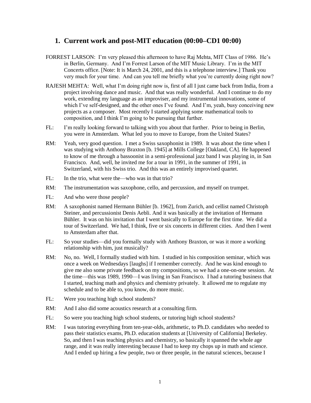### **1. Current work and post-MIT education (00:00–CD1 00:00)**

- FORREST LARSON: I'm very pleased this afternoon to have Raj Mehta, MIT Class of 1986. He's in Berlin, Germany. And I'm Forrest Larson of the MIT Music Library. I'm in the MIT Concerts office. [Note: It is March 24, 2001, and this is a telephone interview.] Thank you very much for your time. And can you tell me briefly what you're currently doing right now?
- RAJESH MEHTA: Well, what I'm doing right now is, first of all I just came back from India, from a project involving dance and music. And that was really wonderful. And I continue to do my work, extending my language as an improviser, and my instrumental innovations, some of which I've self-designed, and the other ones I've found. And I'm, yeah, busy conceiving new projects as a composer. Most recently I started applying some mathematical tools to composition, and I think I'm going to be pursuing that further.
- FL: I'm really looking forward to talking with you about that further. Prior to being in Berlin, you were in Amsterdam. What led you to move to Europe, from the United States?
- RM: Yeah, very good question. I met a Swiss saxophonist in 1989. It was about the time when I was studying with Anthony Braxton [b. 1945] at Mills College [Oakland, CA]. He happened to know of me through a bassoonist in a semi-professional jazz band I was playing in, in San Francisco. And, well, he invited me for a tour in 1991, in the summer of 1991, in Switzerland, with his Swiss trio. And this was an entirely improvised quartet.
- FL: In the trio, what were the—who was in that trio?
- RM: The instrumentation was saxophone, cello, and percussion, and myself on trumpet.
- FL: And who were those people?
- RM: A saxophonist named Hermann Bühler [b. 1962], from Zurich, and cellist named Christoph Steiner, and percussionist Denis Aebli. And it was basically at the invitation of Hermann Bühler. It was on his invitation that I went basically to Europe for the first time. We did a tour of Switzerland. We had, I think, five or six concerts in different cities. And then I went to Amsterdam after that.
- FL: So your studies—did you formally study with Anthony Braxton, or was it more a working relationship with him, just musically?
- RM: No, no. Well, I formally studied with him. I studied in his composition seminar, which was once a week on Wednesdays [laughs] if I remember correctly. And he was kind enough to give me also some private feedback on my compositions, so we had a one-on-one session. At the time—this was 1989, 1990—I was living in San Francisco. I had a tutoring business that I started, teaching math and physics and chemistry privately. It allowed me to regulate my schedule and to be able to, you know, do more music.
- FL: Were you teaching high school students?
- RM: And I also did some acoustics research at a consulting firm.
- FL: So were you teaching high school students, or tutoring high school students?
- RM: I was tutoring everything from ten-year-olds, arithmetic, to Ph.D. candidates who needed to pass their statistics exams, Ph.D. education students at [University of California] Berkeley. So, and then I was teaching physics and chemistry, so basically it spanned the whole age range, and it was really interesting because I had to keep my chops up in math and science. And I ended up hiring a few people, two or three people, in the natural sciences, because I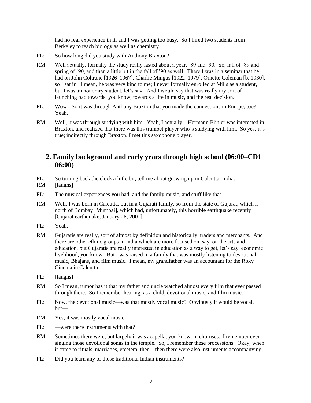had no real experience in it, and I was getting too busy. So I hired two students from Berkeley to teach biology as well as chemistry.

- FL: So how long did you study with Anthony Braxton?
- RM: Well actually, formally the study really lasted about a year, '89 and '90. So, fall of '89 and spring of '90, and then a little bit in the fall of '90 as well. There I was in a seminar that he had on John Coltrane [1926–1967], Charlie Mingus [1922–1979], Ornette Coleman [b. 1930], so I sat in. I mean, he was very kind to me; I never formally enrolled at Mills as a student, but I was an honorary student, let's say. And I would say that was really my sort of launching pad towards, you know, towards a life in music, and the real decision.
- FL: Wow! So it was through Anthony Braxton that you made the connections in Europe, too? Yeah.
- RM: Well, it was through studying with him. Yeah, I actually—Hermann Bühler was interested in Braxton, and realized that there was this trumpet player who's studying with him. So yes, it's true; indirectly through Braxton, I met this saxophone player.

# **2. Family background and early years through high school (06:00–CD1 06:00)**

- FL: So turning back the clock a little bit, tell me about growing up in Calcutta, India.
- RM: [laughs]
- FL: The musical experiences you had, and the family music, and stuff like that.
- RM: Well, I was born in Calcutta, but in a Gujarati family, so from the state of Gujarat, which is north of Bombay [Mumbai], which had, unfortunately, this horrible earthquake recently [Gujarat earthquake, January 26, 2001].
- FL: Yeah.
- RM: Gujaratis are really, sort of almost by definition and historically, traders and merchants. And there are other ethnic groups in India which are more focused on, say, on the arts and education, but Gujaratis are really interested in education as a way to get, let's say, economic livelihood, you know. But I was raised in a family that was mostly listening to devotional music, Bhajans, and film music. I mean, my grandfather was an accountant for the Roxy Cinema in Calcutta.
- FL: [laughs]
- RM: So I mean, rumor has it that my father and uncle watched almost every film that ever passed through there. So I remember hearing, as a child, devotional music, and film music.
- FL: Now, the devotional music—was that mostly vocal music? Obviously it would be vocal, but—
- RM: Yes, it was mostly vocal music.
- FL: —were there instruments with that?
- RM: Sometimes there were, but largely it was acapella, you know, in choruses. I remember even singing those devotional songs in the temple. So, I remember these processions. Okay, when it came to rituals, marriages, etcetera, then—then there were also instruments accompanying.
- FL: Did you learn any of those traditional Indian instruments?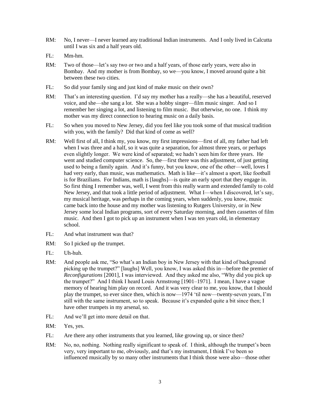- RM: No, I never—I never learned any traditional Indian instruments. And I only lived in Calcutta until I was six and a half years old.
- FL: Mm-hm.
- RM: Two of those—let's say two or two and a half years, of those early years, were also in Bombay. And my mother is from Bombay, so we—you know, I moved around quite a bit between these two cities.
- FL: So did your family sing and just kind of make music on their own?
- RM: That's an interesting question. I'd say my mother has a really—she has a beautiful, reserved voice, and she—she sang a lot. She was a hobby singer—film music singer. And so I remember her singing a lot, and listening to film music. But otherwise, no one. I think my mother was my direct connection to hearing music on a daily basis.
- FL: So when you moved to New Jersey, did you feel like you took some of that musical tradition with you, with the family? Did that kind of come as well?
- RM: Well first of all, I think my, you know, my first impressions—first of all, my father had left when I was three and a half, so it was quite a separation, for almost three years, or perhaps even slightly longer. We were kind of separated; we hadn't seen him for three years. He went and studied computer science. So, the—first there was this adjustment, of just getting used to being a family again. And it's funny, but you know, one of the other—well, loves I had very early, than music, was mathematics. Math is like—it's almost a sport, like football is for Brazilians. For Indians, math is [laughs]—is quite an early sport that they engage in. So first thing I remember was, well, I went from this really warm and extended family to cold New Jersey, and that took a little period of adjustment. What I—when I discovered, let's say, my musical heritage, was perhaps in the coming years, when suddenly, you know, music came back into the house and my mother was listening to Rutgers University, or in New Jersey some local Indian programs, sort of every Saturday morning, and then cassettes of film music. And then I got to pick up an instrument when I was ten years old, in elementary school.
- FL: And what instrument was that?
- RM: So I picked up the trumpet.
- FL: Uh-huh.
- RM: And people ask me, "So what's an Indian boy in New Jersey with that kind of background picking up the trumpet?" [laughs] Well, you know, I was asked this in—before the premier of *Reconfigurations* [2001], I was interviewed. And they asked me also, "Why did you pick up the trumpet?" And I think I heard Louis Armstrong [1901–1971]. I mean, I have a vague memory of hearing him play on record. And it was very clear to me, you know, that I should play the trumpet, so ever since then, which is now—1974 'til now—twenty-seven years, I'm still with the same instrument, so to speak. Because it's expanded quite a bit since then; I have other trumpets in my arsenal, so.
- FL: And we'll get into more detail on that.
- RM: Yes, yes.
- FL: Are there any other instruments that you learned, like growing up, or since then?
- RM: No, no, nothing. Nothing really significant to speak of. I think, although the trumpet's been very, very important to me, obviously, and that's my instrument, I think I've been so influenced musically by so many other instruments that I think those were also—those other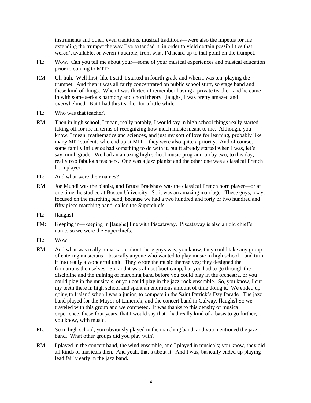instruments and other, even traditions, musical traditions—were also the impetus for me extending the trumpet the way I've extended it, in order to yield certain possibilities that weren't available, or weren't audible, from what I'd heard up to that point on the trumpet.

- FL: Wow. Can you tell me about your—some of your musical experiences and musical education prior to coming to MIT?
- RM: Uh-huh. Well first, like I said, I started in fourth grade and when I was ten, playing the trumpet. And then it was all fairly concentrated on public school stuff, so stage band and these kind of things. When I was thirteen I remember having a private teacher, and he came in with some serious harmony and chord theory. [laughs] I was pretty amazed and overwhelmed. But I had this teacher for a little while.
- FL: Who was that teacher?
- RM: Then in high school, I mean, really notably, I would say in high school things really started taking off for me in terms of recognizing how much music meant to me. Although, you know, I mean, mathematics and sciences, and just my sort of love for learning, probably like many MIT students who end up at MIT—they were also quite a priority. And of course, some family influence had something to do with it, but it already started when I was, let's say, ninth grade. We had an amazing high school music program run by two, to this day, really two fabulous teachers. One was a jazz pianist and the other one was a classical French horn player.
- FL: And what were their names?
- RM: Joe Mundi was the pianist, and Bruce Bradshaw was the classical French horn player—or at one time, he studied at Boston University. So it was an amazing marriage. These guys, okay, focused on the marching band, because we had a two hundred and forty or two hundred and fifty piece marching band, called the Superchiefs.
- FL: [laughs]
- FM: Keeping in—keeping in [laughs] line with Piscataway. Piscataway is also an old chief's name, so we were the Superchiefs.
- FL: Wow!
- RM: And what was really remarkable about these guys was, you know, they could take any group of entering musicians—basically anyone who wanted to play music in high school—and turn it into really a wonderful unit. They wrote the music themselves; they designed the formations themselves. So, and it was almost boot camp, but you had to go through the discipline and the training of marching band before you could play in the orchestra, or you could play in the musicals, or you could play in the jazz-rock ensemble. So, you know, I cut my teeth there in high school and spent an enormous amount of time doing it. We ended up going to Ireland when I was a junior, to compete in the Saint Patrick's Day Parade. The jazz band played for the Mayor of Limerick, and the concert band in Galway. [laughs] So we traveled with this group and we competed. It was thanks to this density of musical experience, these four years, that I would say that I had really kind of a basis to go further, you know, with music.
- FL: So in high school, you obviously played in the marching band, and you mentioned the jazz band. What other groups did you play with?
- RM: I played in the concert band, the wind ensemble, and I played in musicals; you know, they did all kinds of musicals then. And yeah, that's about it. And I was, basically ended up playing lead fairly early in the jazz band.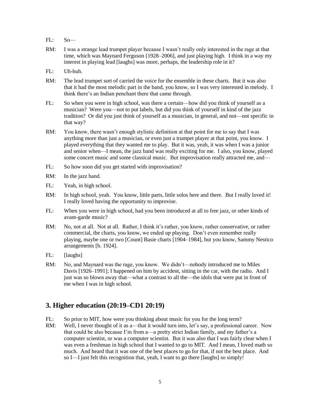- FL: So—
- RM: I was a strange lead trumpet player because I wasn't really only interested in the rage at that time, which was Maynard Ferguson [1928–2006], and just playing high. I think in a way my interest in playing lead [laughs] was more, perhaps, the leadership role in it?
- FL: Uh-huh.
- RM: The lead trumpet sort of carried the voice for the ensemble in these charts. But it was also that it had the most melodic part in the band, you know, so I was very interested in melody. I think there's an Indian penchant there that came through.
- FL: So when you were in high school, was there a certain—how did you think of yourself as a musician? Were you—not to put labels, but did you think of yourself in kind of the jazz tradition? Or did you just think of yourself as a musician, in general, and not—not specific in that way?
- RM: You know, there wasn't enough stylistic definition at that point for me to say that I was anything more than just a musician, or even just a trumpet player at that point, you know. I played everything that they wanted me to play. But it was, yeah, it was when I was a junior and senior when—I mean, the jazz band was really exciting for me. I also, you know, played some concert music and some classical music. But improvisation really attracted me, and—
- FL: So how soon did you get started with improvisation?
- RM: In the jazz band.
- FL: Yeah, in high school.
- RM: In high school, yeah. You know, little parts, little solos here and there. But I really loved it! I really loved having the opportunity to improvise.
- FL: When you were in high school, had you been introduced at all to free jazz, or other kinds of avant-garde music?
- RM: No, not at all. Not at all. Rather, I think it's rather, you know, rather conservative, or rather commercial, the charts, you know, we ended up playing. Don't even remember really playing, maybe one or two [Count] Basie charts [1904–1984], but you know, Sammy Nestico arrangements [b. 1924].
- FL: [laughs]
- RM: No, and Maynard was the rage, you know. We didn't—nobody introduced me to Miles Davis [1926–1991]; I happened on him by accident, sitting in the car, with the radio. And I just was so blown away that—what a contrast to all the—the idols that were put in front of me when I was in high school.

## **3. Higher education (20:19–CD1 20:19)**

- FL: So prior to MIT, how were you thinking about music for you for the long term?
- RM: Well, I never thought of it as a—that it would turn into, let's say, a professional career. Now that could be also because I'm from a—a pretty strict Indian family, and my father's a computer scientist, or was a computer scientist. But it was also that I was fairly clear when I was even a freshman in high school that I wanted to go to MIT. And I mean, I loved math so much. And heard that it was one of the best places to go for that, if not the best place. And so I—I just felt this recognition that, yeah, I want to go there [laughs] so simply!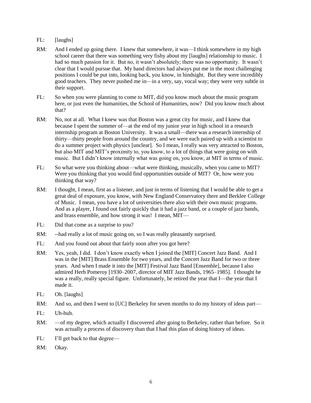#### FL: [laughs]

- RM: And I ended up going there. I knew that somewhere, it was—I think somewhere in my high school career that there was something very fishy about my [laughs] relationship to music. I had so much passion for it. But no, it wasn't absolutely; there was no opportunity. It wasn't clear that I would pursue that. My band directors had always put me in the most challenging positions I could be put into, looking back, you know, in hindsight. But they were incredibly good teachers. They never pushed me in—in a very, say, vocal way; they were very subtle in their support.
- FL: So when you were planning to come to MIT, did you know much about the music program here, or just even the humanities, the School of Humanities, now? Did you know much about that?
- RM: No, not at all. What I knew was that Boston was a great city for music, and I knew that because I spent the summer of—at the end of my junior year in high school in a research internship program at Boston University. It was a small—there was a research internship of thirty—thirty people from around the country, and we were each paired up with a scientist to do a summer project with physics [unclear]. So I mean, I really was very attracted to Boston, but also MIT and MIT's proximity to, you know, to a lot of things that were going on with music. But I didn't know internally what was going on, you know, at MIT in terms of music.
- FL: So what were you thinking about—what were thinking, musically, when you came to MIT? Were you thinking that you would find opportunities outside of MIT? Or, how were you thinking that way?
- RM: I thought, I mean, first as a listener, and just in terms of listening that I would be able to get a great deal of exposure, you know, with New England Conservatory there and Berklee College of Music. I mean, you have a lot of universities there also with their own music programs. And as a player, I found out fairly quickly that it had a jazz band, or a couple of jazz bands, and brass ensemble, and how strong it was! I mean, MIT—
- FL: Did that come as a surprise to you?
- RM: --had really a lot of music going on, so I was really pleasantly surprised.
- FL: And you found out about that fairly soon after you got here?
- RM: Yes, yeah, I did. I don't know exactly when I joined the [MIT] Concert Jazz Band. And I was in the [MIT] Brass Ensemble for two years, and the Concert Jazz Band for two or three years. And when I made it into the [MIT] Festival Jazz Band [Ensemble], because I also admired Herb Pomeroy [1930–2007, director of MIT Jazz Bands, 1965–1985]. I thought he was a really, really special figure. Unfortunately, he retired the year that I—the year that I made it.
- FL: Oh. [laughs]
- RM: And so, and then I went to [UC] Berkeley for seven months to do my history of ideas part—
- FL: Uh-huh.
- RM:  $\sim$  -of my degree, which actually I discovered after going to Berkeley, rather than before. So it was actually a process of discovery than that I had this plan of doing history of ideas.
- FL: I'll get back to that degree—
- RM: Okay.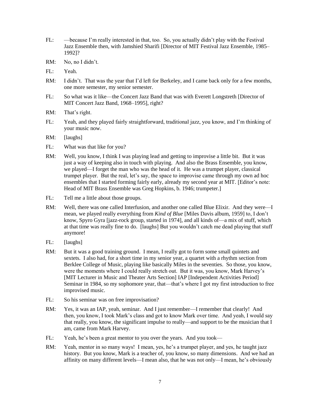- FL: —because I'm really interested in that, too. So, you actually didn't play with the Festival Jazz Ensemble then, with Jamshied Sharifi [Director of MIT Festival Jazz Ensemble, 1985– 1992]?
- RM: No, no I didn't.
- FL: Yeah.
- RM: I didn't. That was the year that I'd left for Berkeley, and I came back only for a few months, one more semester, my senior semester.
- FL: So what was it like—the Concert Jazz Band that was with Everett Longstreth [Director of MIT Concert Jazz Band, 1968–1995], right?
- RM: That's right.
- FL: Yeah, and they played fairly straightforward, traditional jazz, you know, and I'm thinking of your music now.
- RM: [laughs]
- FL: What was that like for you?
- RM: Well, you know, I think I was playing lead and getting to improvise a little bit. But it was just a way of keeping also in touch with playing. And also the Brass Ensemble, you know, we played—I forget the man who was the head of it. He was a trumpet player, classical trumpet player. But the real, let's say, the space to improvise came through my own ad hoc ensembles that I started forming fairly early, already my second year at MIT. [Editor's note: Head of MIT Brass Ensemble was Greg Hopkins, b. 1946; trumpeter.]
- FL: Tell me a little about those groups.
- RM: Well, there was one called Interfusion, and another one called Blue Elixir. And they were—I mean, we played really everything from *Kind of Blue* [Miles Davis album, 1959] to, I don't know, Spyro Gyra [jazz-rock group, started in 1974], and all kinds of—a mix of stuff, which at that time was really fine to do. [laughs] But you wouldn't catch me dead playing that stuff anymore!
- FL: [laughs]
- RM: But it was a good training ground. I mean, I really got to form some small quintets and sextets. I also had, for a short time in my senior year, a quartet with a rhythm section from Berklee College of Music, playing like basically Miles in the seventies. So those, you know, were the moments where I could really stretch out. But it was, you know, Mark Harvey's [MIT Lecturer in Music and Theater Arts Section] IAP [Independent Activities Period] Seminar in 1984, so my sophomore year, that—that's where I got my first introduction to free improvised music.
- FL: So his seminar was on free improvisation?
- RM: Yes, it was an IAP, yeah, seminar. And I just remember—I remember that clearly! And then, you know, I took Mark's class and got to know Mark over time. And yeah, I would say that really, you know, the significant impulse to really—and support to be the musician that I am, came from Mark Harvey.
- FL: Yeah, he's been a great mentor to you over the years. And you took—
- RM: Yeah, mentor in so many ways! I mean, yes, he's a trumpet player, and yes, he taught jazz history. But you know, Mark is a teacher of, you know, so many dimensions. And we had an affinity on many different levels—I mean also, that he was not only—I mean, he's obviously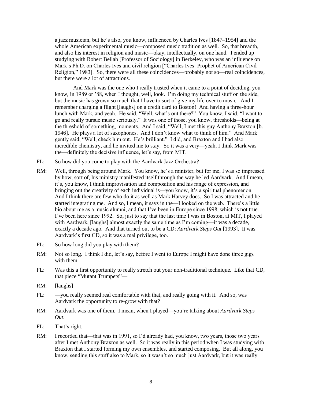a jazz musician, but he's also, you know, influenced by Charles Ives [1847–1954] and the whole American experimental music—composed music tradition as well. So, that breadth, and also his interest in religion and music—okay, intellectually, on one hand. I ended up studying with Robert Bellah [Professor of Sociology] in Berkeley, who was an influence on Mark's Ph.D. on Charles Ives and civil religion ["Charles Ives: Prophet of American Civil Religion," 1983]. So, there were all these coincidences—probably not so—real coincidences, but there were a lot of attractions.

And Mark was the one who I really trusted when it came to a point of deciding, you know, in 1989 or '88, when I thought, well, look. I'm doing my technical stuff on the side, but the music has grown so much that I have to sort of give my life over to music. And I remember charging a flight [laughs] on a credit card to Boston! And having a three-hour lunch with Mark, and yeah. He said, "Well, what's out there?" You know, I said, "I want to go and really pursue music seriously." It was one of those, you know, thresholds—being at the threshold of something, moments. And I said, "Well, I met this guy Anthony Braxton [b. 1946]. He plays a lot of saxophones. And I don't know what to think of him." And Mark gently said, "Well, check him out. He's brilliant." I did, and Braxton and I had also incredible chemistry, and he invited me to stay. So it was a very—yeah, I think Mark was the—definitely the decisive influence, let's say, from MIT.

- FL: So how did you come to play with the Aardvark Jazz Orchestra?
- RM: Well, through being around Mark. You know, he's a minister, but for me, I was so impressed by how, sort of, his ministry manifested itself through the way he led Aardvark. And I mean, it's, you know, I think improvisation and composition and his range of expression, and bringing out the creativity of each individual is—you know, it's a spiritual phenomenon. And I think there are few who do it as well as Mark Harvey does. So I was attracted and he started integrating me. And so, I mean, it says in the—I looked on the web. There's a little bio about me as a music alumni, and that I've been in Europe since 1998, which is not true. I've been here since 1992. So, just to say that the last time I was in Boston, at MIT, I played with Aardvark, [laughs] almost exactly the same time as I'm coming—it was a decade, exactly a decade ago. And that turned out to be a CD: *Aardvark Steps Out* [1993]. It was Aardvark's first CD, so it was a real privilege, too.
- FL: So how long did you play with them?
- RM: Not so long. I think I did, let's say, before I went to Europe I might have done three gigs with them.
- FL: Was this a first opportunity to really stretch out your non-traditional technique. Like that CD, that piece "Mutant Trumpets"—
- RM: [laughs]
- FL: you really seemed real comfortable with that, and really going with it. And so, was Aardvark the opportunity to re-grow with that?
- RM: Aardvark was one of them. I mean, when I played—you're talking about *Aardvark Steps Out*.
- FL: That's right.
- RM: I recorded that—that was in 1991, so I'd already had, you know, two years, those two years after I met Anthony Braxton as well. So it was really in this period when I was studying with Braxton that I started forming my own ensembles, and started composing. But all along, you know, sending this stuff also to Mark, so it wasn't so much just Aardvark, but it was really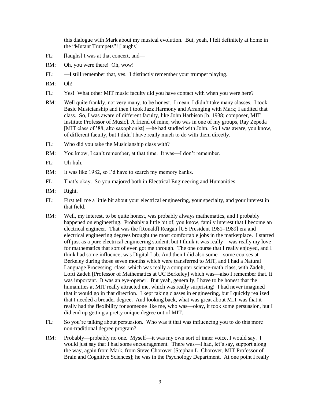this dialogue with Mark about my musical evolution. But, yeah, I felt definitely at home in the "Mutant Trumpets"! [laughs]

- FL: [laughs] I was at that concert, and—
- RM: Oh, you were there! Oh, wow!
- FL:  $-$ I still remember that, yes. I distinctly remember your trumpet playing.
- RM: Oh!
- FL: Yes! What other MIT music faculty did you have contact with when you were here?
- RM: Well quite frankly, not very many, to be honest. I mean, I didn't take many classes. I took Basic Musicianship and then I took Jazz Harmony and Arranging with Mark; I audited that class. So, I was aware of different faculty, like John Harbison [b. 1938; composer, MIT Institute Professor of Music]. A friend of mine, who was in one of my groups, Ray Zepeda [MIT class of '88; alto saxophonist] —he had studied with John. So I was aware, you know, of different faculty, but I didn't have really much to do with them directly.
- FL: Who did you take the Musicianship class with?
- RM: You know, I can't remember, at that time. It was—I don't remember.
- FL: Uh-huh.
- RM: It was like 1982, so I'd have to search my memory banks.
- FL: That's okay. So you majored both in Electrical Engineering and Humanities.
- RM: Right.
- FL: First tell me a little bit about your electrical engineering, your specialty, and your interest in that field.
- RM: Well, my interest, to be quite honest, was probably always mathematics, and I probably happened on engineering. Probably a little bit of, you know, family interest that I become an electrical engineer. That was the [Ronald] Reagan [US President 1981–1989] era and electrical engineering degrees brought the most comfortable jobs in the marketplace. I started off just as a pure electrical engineering student, but I think it was really—was really my love for mathematics that sort of even got me through. The one course that I really enjoyed, and I think had some influence, was Digital Lab. And then I did also some—some courses at Berkeley during those seven months which were transferred to MIT, and I had a Natural Language Processing class, which was really a computer science-math class, with Zadeh, Lofti Zadeh [Professor of Mathematics at UC Berkeley] which was—also I remember that. It was important. It was an eye-opener. But yeah, generally, I have to be honest that the humanities at MIT really attracted me, which was really surprising! I had never imagined that it would go in that direction. I kept taking classes in engineering, but I quickly realized that I needed a broader degree. And looking back, what was great about MIT was that it really had the flexibility for someone like me, who was—okay, it took some persuasion, but I did end up getting a pretty unique degree out of MIT.
- FL: So you're talking about persuasion. Who was it that was influencing you to do this more non-traditional degree program?
- RM: Probably—probably no one. Myself—it was my own sort of inner voice, I would say. I would just say that I had some encouragement. There was—I had, let's say, support along the way, again from Mark, from Steve Chorover [Stephan L. Chorover, MIT Professor of Brain and Cognitive Sciences]; he was in the Psychology Department. At one point I really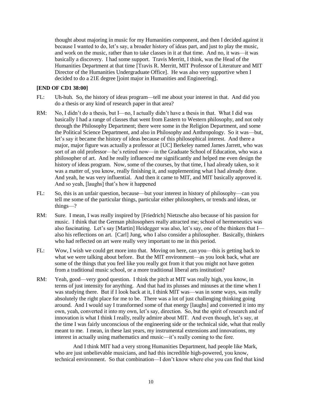thought about majoring in music for my Humanities component, and then I decided against it because I wanted to do, let's say, a broader history of ideas part, and just to play the music, and work on the music, rather than to take classes in it at that time. And no, it was—it was basically a discovery. I had some support. Travis Merritt, I think, was the Head of the Humanities Department at that time [Travis R. Merritt, MIT Professor of Literature and MIT Director of the Humanities Undergraduate Office]. He was also very supportive when I decided to do a 21E degree [joint major in Humanities and Engineering].

#### **[END OF CD1 38:00]**

- FL: Uh-huh. So, the history of ideas program—tell me about your interest in that. And did you do a thesis or any kind of research paper in that area?
- RM: No, I didn't do a thesis, but I—no, I actually didn't have a thesis in that. What I did was basically I had a range of classes that went from Eastern to Western philosophy, and not only through the Philosophy Department; there were some in the Religion Department, and some the Political Science Department, and also in Philosophy and Anthropology. So it was—but, let's say it became the history of ideas because of this philosophical interest. And there a major, major figure was actually a professor at [UC] Berkeley named James Jarrett, who was sort of an old professor—he's retired now—in the Graduate School of Education, who was a philosopher of art. And he really influenced me significantly and helped me even design the history of ideas program. Now, some of the courses, by that time, I had already taken, so it was a matter of, you know, really finishing it, and supplementing what I had already done. And yeah, he was very influential. And then it came to MIT, and MIT basically approved it. And so yeah, [laughs] that's how it happened
- FL: So, this is an unfair question, because—but your interest in history of philosophy—can you tell me some of the particular things, particular either philosophers, or trends and ideas, or things—?
- RM: Sure. I mean, I was really inspired by [Friedrich] Nietzsche also because of his passion for music. I think that the German philosophers really attracted me; school of hermeneutics was also fascinating. Let's say [Martin] Heidegger was also, let's say, one of the thinkers that I also his reflections on art. [Carl] Jung, who I also consider a philosopher. Basically, thinkers who had reflected on art were really very important to me in this period.
- FL: Wow, I wish we could get more into that. Moving on here, can you—this is getting back to what we were talking about before. But the MIT environment—as you look back, what are some of the things that you feel like you really got from it that you might not have gotten from a traditional music school, or a more traditional liberal arts institution?
- RM: Yeah, good—very good question. I think the pitch at MIT was really high, you know, in terms of just intensity for anything. And that had its plusses and minuses at the time when I was studying there. But if I look back at it, I think MIT was—was in some ways, was really absolutely the right place for me to be. There was a lot of just challenging thinking going around. And I would say I transformed some of that energy [laughs] and converted it into my own, yeah, converted it into my own, let's say, direction. So, but the spirit of research and of innovation is what I think I really, really admire about MIT. And even though, let's say, at the time I was fairly unconscious of the engineering side or the technical side, what that really meant to me. I mean, in these last years, my instrumental extensions and innovations, my interest in actually using mathematics and music—it's really coming to the fore.

And I think MIT had a very strong Humanities Department, had people like Mark, who are just unbelievable musicians, and had this incredible high-powered, you know, technical environment. So that combination—I don't know where else you can find that kind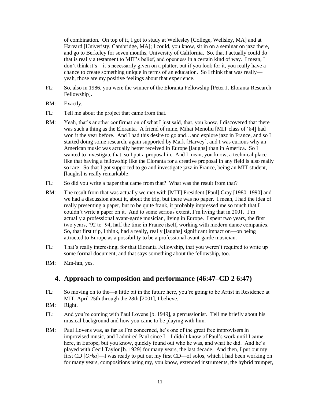of combination. On top of it, I got to study at Wellesley [College, Wellsley, MA] and at Harvard [Univeristy, Cambridge, MA]; I could, you know, sit in on a seminar on jazz there, and go to Berkeley for seven months, University of California. So, that I actually could do that is really a testament to MIT's belief, and openness in a certain kind of way. I mean, I don't think it's—it's necessarily given on a platter, but if you look for it, you really have a chance to create something unique in terms of an education. So I think that was really yeah, those are my positive feelings about that experience.

- FL: So, also in 1986, you were the winner of the Eloranta Fellowship [Peter J. Eloranta Research Fellowship].
- RM: Exactly.
- FL: Tell me about the project that came from that.
- RM: Yeah, that's another confirmation of what I just said, that, you know, I discovered that there was such a thing as the Eloranta. A friend of mine, Mihai Menoliu [MIT class of '84] had won it the year before. And I had this desire to go and…and explore jazz in France, and so I started doing some research, again supported by Mark [Harvey], and I was curious why an American music was actually better received in Europe [laughs] than in America. So I wanted to investigate that, so I put a proposal in. And I mean, you know, a technical place like that having a fellowship like the Eloranta for a creative proposal in any field is also really so rare. So that I got supported to go and investigate jazz in France, being an MIT student, [laughs] is really remarkable!
- FL: So did you write a paper that came from that? What was the result from that?
- RM: The result from that was actually we met with [MIT] President [Paul] Gray [1980–1990] and we had a discussion about it, about the trip, but there was no paper. I mean, I had the idea of really presenting a paper, but to be quite frank, it probably impressed me so much that I couldn't write a paper on it. And to some serious extent, I'm living that in 2001. I'm actually a professional avant-garde musician, living in Europe. I spent two years, the first two years, '92 to '94, half the time in France itself, working with modern dance companies. So, that first trip, I think, had a really, really [laughs] significant impact on—on being attracted to Europe as a possibility to be a professional avant-garde musician.
- FL: That's really interesting, for that Eloranta Fellowship, that you weren't required to write up some formal document, and that says something about the fellowship, too.
- RM: Mm-hm, yes.

## **4. Approach to composition and performance (46:47–CD 2 6:47)**

- FL: So moving on to the—a little bit in the future here, you're going to be Artist in Residence at MIT, April 25th through the 28th [2001], I believe.
- RM: Right.
- FL: And you're coming with Paul Lovens [b. 1949], a percussionist. Tell me briefly about his musical background and how you came to be playing with him.
- RM: Paul Lovens was, as far as I'm concerned, he's one of the great free improvisers in improvised music, and I admired Paul since I—I didn't know of Paul's work until I came here, in Europe, but you know, quickly found out who he was, and what he did. And he's played with Cecil Taylor [b. 1929] for many years, the last decade. And then, I put out my first CD [*Orka*]—I was ready to put out my first CD—of solos, which I had been working on for many years, compositions using my, you know, extended instruments, the hybrid trumpet,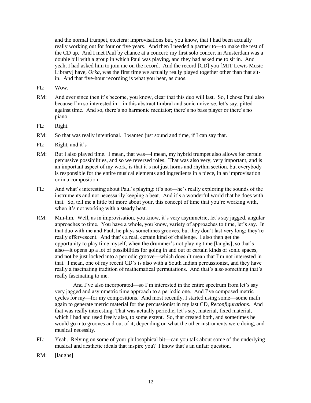and the normal trumpet, etcetera: improvisations but, you know, that I had been actually really working out for four or five years. And then I needed a partner to—to make the rest of the CD up. And I met Paul by chance at a concert; my first solo concert in Amsterdam was a double bill with a group in which Paul was playing, and they had asked me to sit in. And yeah, I had asked him to join me on the record. And the record [CD] you [MIT Lewis Music Library] have, *Orka*, was the first time we actually really played together other than that sitin. And that five-hour recording is what you hear, as duos.

- FL: Wow.
- RM: And ever since then it's become, you know, clear that this duo will last. So, I chose Paul also because I'm so interested in—in this abstract timbral and sonic universe, let's say, pitted against time. And so, there's no harmonic mediator; there's no bass player or there's no piano.
- FL: Right.
- RM: So that was really intentional. I wanted just sound and time, if I can say that.
- FL: Right, and it's—
- RM: But I also played time. I mean, that was—I mean, my hybrid trumpet also allows for certain percussive possibilities, and so we reversed roles. That was also very, very important, and is an important aspect of my work, is that it's not just horns and rhythm section, but everybody is responsible for the entire musical elements and ingredients in a piece, in an improvisation or in a composition.
- FL: And what's interesting about Paul's playing: it's not—he's really exploring the sounds of the instruments and not necessarily keeping a beat. And it's a wonderful world that he does with that. So, tell me a little bit more about your, this concept of time that you're working with, when it's not working with a steady beat.
- RM: Mm-hm. Well, as in improvisation, you know, it's very asymmetric, let's say jagged, angular approaches to time. You have a whole, you know, variety of approaches to time, let's say. In that duo with me and Paul, he plays sometimes grooves, but they don't last very long; they're really effervescent. And that's a real, certain kind of challenge. I also then get the opportunity to play time myself, when the drummer's not playing time [laughs], so that's also—it opens up a lot of possibilities for going in and out of certain kinds of sonic spaces, and not be just locked into a periodic groove—which doesn't mean that I'm not interested in that. I mean, one of my recent CD's is also with a South Indian percussionist, and they have really a fascinating tradition of mathematical permutations. And that's also something that's really fascinating to me.

And I've also incorporated—so I'm interested in the entire spectrum from let's say very jagged and asymmetric time approach to a periodic one. And I've composed metric cycles for my—for my compositions. And most recently, I started using some—some math again to generate metric material for the percussionist in my last CD, *Reconfigurations*. And that was really interesting. That was actually periodic, let's say, material, fixed material, which I had and used freely also, to some extent. So, that created both, and sometimes he would go into grooves and out of it, depending on what the other instruments were doing, and musical necessity.

- FL: Yeah. Relying on some of your philosophical bit—can you talk about some of the underlying musical and aesthetic ideals that inspire you? I know that's an unfair question.
- RM: [laughs]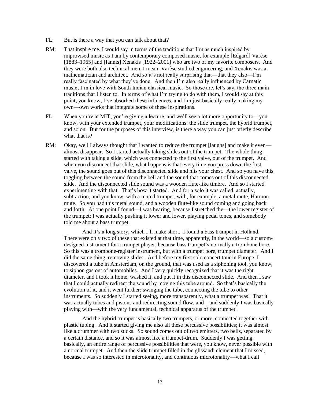- FL: But is there a way that you can talk about that?
- RM: That inspire me. I would say in terms of the traditions that I'm as much inspired by improvised music as I am by contemporary composed music, for example [Edgard] Varèse [1883–1965] and [Iannis] Xenakis [1922–2001] who are two of my favorite composers. And they were both also technical men. I mean, Varèse studied engineering, and Xenakis was a mathematician and architect. And so it's not really surprising that—that they also—I'm really fascinated by what they've done. And then I'm also really influenced by Carnatic music; I'm in love with South Indian classical music. So those are, let's say, the three main traditions that I listen to. In terms of what I'm trying to do with them, I would say at this point, you know, I've absorbed these influences, and I'm just basically really making my own—own works that integrate some of these inspirations.
- FL: When you're at MIT, you're giving a lecture, and we'll see a lot more opportunity to—you know, with your extended trumpet, your modifications: the slide trumpet, the hybrid trumpet, and so on. But for the purposes of this interview, is there a way you can just briefly describe what that is?
- RM: Okay, well I always thought that I wanted to reduce the trumpet [laughs] and make it even almost disappear. So I started actually taking slides out of the trumpet. The whole thing started with taking a slide, which was connected to the first valve, out of the trumpet. And when you disconnect that slide, what happens is that every time you press down the first valve, the sound goes out of this disconnected slide and hits your chest. And so you have this toggling between the sound from the bell and the sound that comes out of this disconnected slide. And the disconnected slide sound was a wooden flute-like timbre. And so I started experimenting with that. That's how it started. And for a solo it was called, actually, subtraction, and you know, with a muted trumpet, with, for example, a metal mute, Harmon mute. So you had this metal sound, and a wooden flute-like sound coming and going back and forth. At one point I found—I was hearing, because I stretched the—the lower register of the trumpet; I was actually pushing it lower and lower, playing pedal tones, and somebody told me about a bass trumpet.

And it's a long story, which I'll make short. I found a bass trumpet in Holland. There were only two of these that existed at that time, apparently, in the world—so a customdesigned instrument for a trumpet player, because bass trumpet's normally a trombone bore. So this was a trombone-register instrument, but with a trumpet bore, trumpet diameter. And I did the same thing, removing slides. And before my first solo concert tour in Europe, I discovered a tube in Amsterdam, on the ground, that was used as a siphoning tool, you know, to siphon gas out of automobiles. And I very quickly recognized that it was the right diameter, and I took it home, washed it, and put it in this disconnected slide. And then I saw that I could actually redirect the sound by moving this tube around. So that's basically the evolution of it, and it went further: swinging the tube, connecting the tube to other instruments. So suddenly I started seeing, more transparently, what a trumpet was! That it was actually tubes and pistons and redirecting sound flow, and—and suddenly I was basically playing with—with the very fundamental, technical apparatus of the trumpet.

And the hybrid trumpet is basically two trumpets, or more, connected together with plastic tubing. And it started giving me also all these percussive possibilities; it was almost like a drummer with two sticks. So sound comes out of two emitters, two bells, separated by a certain distance, and so it was almost like a trumpet-drum. Suddenly I was getting, basically, an entire range of percussive possibilities that were, you know, never possible with a normal trumpet. And then the slide trumpet filled in the glissandi element that I missed, because I was so interested in microtonality, and continuous microtonality—what I call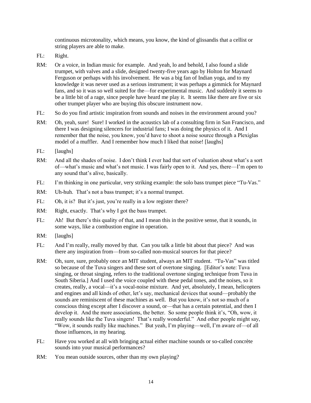continuous microtonality, which means, you know, the kind of glissandis that a cellist or string players are able to make.

- FL: Right.
- RM: Or a voice, in Indian music for example. And yeah, lo and behold, I also found a slide trumpet, with valves and a slide, designed twenty-five years ago by Holton for Maynard Ferguson or perhaps with his involvement. He was a big fan of Indian yoga, and to my knowledge it was never used as a serious instrument; it was perhaps a gimmick for Maynard fans, and so it was so well suited for the—for experimental music. And suddenly it seems to be a little bit of a rage, since people have heard me play it. It seems like there are five or six other trumpet player who are buying this obscure instrument now.
- FL: So do you find artistic inspiration from sounds and noises in the environment around you?
- RM: Oh, yeah, sure! Sure! I worked in the acoustics lab of a consulting firm in San Francisco, and there I was designing silencers for industrial fans; I was doing the physics of it. And I remember that the noise, you know, you'd have to shoot a noise source through a Plexiglas model of a muffler. And I remember how much I liked that noise! [laughs]
- FL: [laughs]
- RM: And all the shades of noise. I don't think I ever had that sort of valuation about what's a sort of—what's music and what's not music. I was fairly open to it. And yes, there—I'm open to any sound that's alive, basically.
- FL: I'm thinking in one particular, very striking example: the solo bass trumpet piece "Tu-Vas."
- RM: Uh-huh. That's not a bass trumpet; it's a normal trumpet.
- FL: Oh, it is? But it's just, you're really in a low register there?
- RM: Right, exactly. That's why I got the bass trumpet.
- FL: Ah! But there's this quality of that, and I mean this in the positive sense, that it sounds, in some ways, like a combustion engine in operation.
- RM: [laughs]
- FL: And I'm really, really moved by that. Can you talk a little bit about that piece? And was there any inspiration from—from so-called non-musical sources for that piece?
- RM: Oh, sure, sure, probably once an MIT student, always an MIT student. "Tu-Vas" was titled so because of the Tuva singers and these sort of overtone singing. [Editor's note: Tuva singing, or throat singing, refers to the traditional overtone singing technique from Tuva in South Siberia.] And I used the voice coupled with these pedal tones, and the noises, so it creates, really, a vocal—it's a vocal-noise mixture. And yet, absolutely, I mean, helicopters and engines and all kinds of other, let's say, mechanical devices that sound—probably the sounds are reminiscent of these machines as well. But you know, it's not so much of a conscious thing except after I discover a sound, or—that has a certain potential, and then I develop it. And the more associations, the better. So some people think it's, "Oh, wow, it really sounds like the Tuva singers! That's really wonderful." And other people might say, "Wow, it sounds really like machines." But yeah, I'm playing—well, I'm aware of—of all those influences, in my hearing.
- FL: Have you worked at all with bringing actual either machine sounds or so-called concrète sounds into your musical performances?
- RM: You mean outside sources, other than my own playing?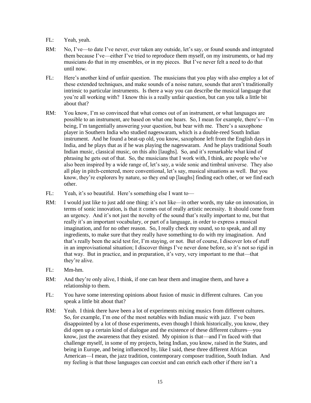- FL: Yeah, yeah.
- RM: No, I've—to date I've never, ever taken any outside, let's say, or found sounds and integrated them because I've—either I've tried to reproduce them myself, on my instruments, or had my musicians do that in my ensembles, or in my pieces. But I've never felt a need to do that until now.
- FL: Here's another kind of unfair question. The musicians that you play with also employ a lot of these extended techniques, and make sounds of a noise nature, sounds that aren't traditionally intrinsic to particular instruments. Is there a way you can describe the musical language that you're all working with? I know this is a really unfair question, but can you talk a little bit about that?
- RM: You know, I'm so convinced that what comes out of an instrument, or what languages are possible to an instrument, are based on what one hears. So, I mean for example, there's—I'm being, I'm tangentially answering your question, but bear with me. There's a saxophone player in Southern India who studied nageswaram, which is a double-reed South Indian instrument. And he found a beat-up old, you know, saxophone left from the English days in India, and he plays that as if he was playing the nageswaram. And he plays traditional South Indian music, classical music, on this alto [laughs]. So, and it's remarkable what kind of phrasing he gets out of that. So, the musicians that I work with, I think, are people who've also been inspired by a wide range of, let's say, a wide sonic and timbral universe. They also all play in pitch-centered, more conventional, let's say, musical situations as well. But you know, they're explorers by nature, so they end up [laughs] finding each other, or we find each other.
- FL: Yeah, it's so beautiful. Here's something else I want to—
- RM: I would just like to just add one thing: it's not like—in other words, my take on innovation, in terms of sonic innovation, is that it comes out of really artistic necessity. It should come from an urgency. And it's not just the novelty of the sound that's really important to me, but that really it's an important vocabulary, or part of a language, in order to express a musical imagination, and for no other reason. So, I really check my sound, so to speak, and all my ingredients, to make sure that they really have something to do with my imagination. And that's really been the acid test for, I'm staying, or not. But of course, I discover lots of stuff in an improvisational situation; I discover things I've never done before, so it's not so rigid in that way. But in practice, and in preparation, it's very, very important to me that—that they're alive.
- FL: Mm-hm.
- RM: And they're only alive, I think, if one can hear them and imagine them, and have a relationship to them.
- FL: You have some interesting opinions about fusion of music in different cultures. Can you speak a little bit about that?
- RM: Yeah. I think there have been a lot of experiments mixing musics from different cultures. So, for example, I'm one of the most notables with Indian music with jazz. I've been disappointed by a lot of those experiments, even though I think historically, you know, they did open up a certain kind of dialogue and the existence of these different cultures—you know, just the awareness that they existed. My opinion is that—and I'm faced with that challenge myself, in some of my projects, being Indian, you know, raised in the States, and being in Europe, and being influenced by, like I said, these three different African American—I mean, the jazz tradition, contemporary composer tradition, South Indian. And my feeling is that those languages can coexist and can enrich each other if there isn't a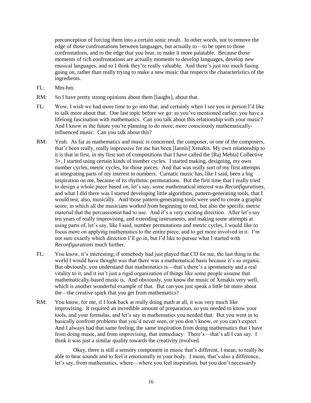preconception of forcing them into a certain sonic result. In other words, not to remove the edge of those confrontations between languages, but actually to—to be open to those confrontations, and to the edge that you hear, to make it more palatable. Because those moments of rich confrontations are actually moments to develop languages, develop new musical languages, and so I think they're really valuable. And there's just too much fusing going on, rather than really trying to make a new music that respects the characteristics of the ingredients.

- FL: Mm-hm.
- RM: So I have pretty strong opinions about them [laughs], about that.
- FL: Wow, I wish we had more time to go into that, and certainly when I see you in person I'd like to talk more about that. One last topic before we go: as you've mentioned earlier, you have a lifelong fascination with mathematics. Can you talk about this relationship with your music? And I know in the future you're planning to do more, more consciously mathematicallyinfluenced music. Can you talk about this?
- RM: Yeah. As far as mathematics and music is concerned, the composer, or one of the composers, that's been really, really impressive for me has been [Iannis] Xenakis. My own relationship to it is that in first, in my first sort of compositions that I have called the [Raj Mehta] Collective 3+, I started using certain kinds of number cycles. I started making, designing, my own number cycles, metric cycles, for those pieces. And that was really sort of my first attempts at integrating parts of my interest in numbers. Carnatic music has, like I said, been a big inspiration on me, because of its rhythmic permutations. But the first time that I really tried to design a whole piece based on, let's say, some mathematical interest was *Reconfigurations*, and what I did there was I started developing little algorithms, pattern-generating tools, that I would test, also, musically. And those pattern-generating tools were used to create a graphic score, in which all the musicians worked from beginning to end, but also the specific metric material that the percussionist had to use. And it's a very exciting direction. After let's say ten years of really improvising, and extending instruments, and making some attempts at using parts of, let's say, like I said, number permutations and metric cycles, I would like to focus more on applying mathematics to the entire piece, and to get more involved in it. I'm not sure exactly which direction I'll go in, but I'd like to pursue what I started with *Reconfigurations* much further.
- FL: You know, it's interesting; if somebody had just played that CD for me, the last thing in the world I would have thought was that there was a mathematical basis because it's so organic. But obviously, you understand that mathematics is—that's there's a spontaneity and a real vitality to it, and it isn't just a rigid organization of things like some people assume that mathematically-based music is. And obviously, you know the music of Xenakis very well, which is another wonderful example of that. But can you just speak a little bit more about the—the creative spark that you get from mathematics?
- RM: You know, for me, if I look back at really doing math at all, it was very much like improvising. It required an incredible amount of preparation, so you needed to know your tools, and your formulas, and let's say in mathematics you needed that. But you went in to basically confront problems that you'd never seen, or you don't know, or you can't expect. And I always had that same feeling, the same inspiration from doing mathematics that I have from doing music, and from improvising, that immediacy. There's—that's all I can say. I think it was just a similar quality towards the creativity involved.

Okay, there is still a sensory component in music that's different, I mean, to really be able to hear sounds and to feel it emotionally in your body. I mean, that's also a difference, let's say, from mathematics, where—where you feel inspiration, but you don't necessarily